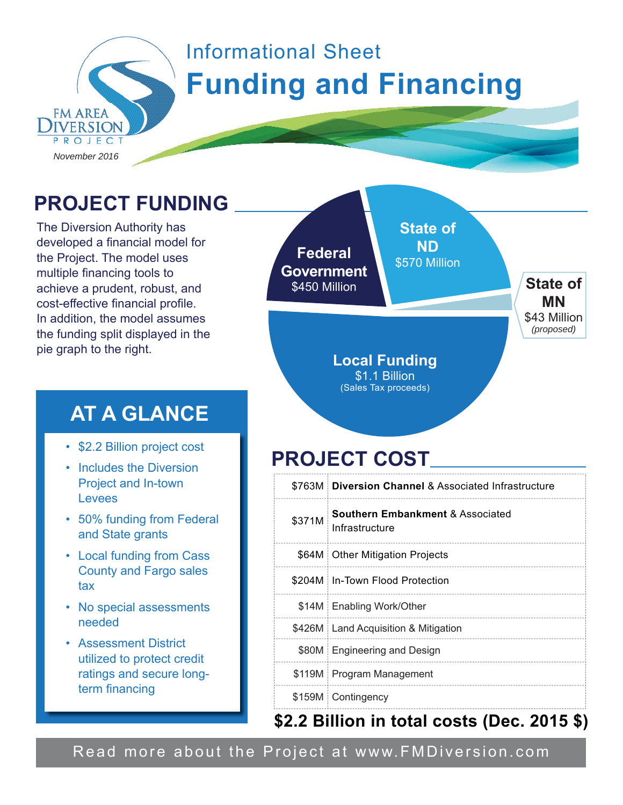

# Informational Sheet **Funding and Financing**

**PROJECT FUNDING**

The Diversion Authority has developed a financial model for the Project. The model uses multiple financing tools to achieve a prudent, robust, and cost-effective financial profile. In addition, the model assumes the funding split displayed in the pie graph to the right.

#### **AT A GLANCE**

- \$2.2 Billion project cost
- Includes the Diversion Project and In-town Levees
- 50% funding from Federal and State grants
- Local funding from Cass County and Fargo sales tax
- No special assessments needed
- Assessment District utilized to protect credit ratings and secure longterm financing

**Federal Government \$450 Million <b>State of State of MN** \$43 Million *(proposed)* **State of ND** \$570 Million **Local Funding**

## **PROJECT COST**

\$1.1 Billion (Sales Tax proceeds)

|        | \$763M Diversion Channel & Associated Infrastructure          |
|--------|---------------------------------------------------------------|
| \$371M | <b>Southern Embankment &amp; Associated</b><br>Infrastructure |
|        | \$64M   Other Mitigation Projects                             |
|        | \$204M∃In-Town Flood Protection                               |
|        | \$14M Enabling Work/Other                                     |
|        | \$426M   Land Acquisition & Mitigation                        |
|        | \$80M Engineering and Design                                  |
|        | \$119M Program Management                                     |
|        | \$159M Contingency                                            |

#### **\$2.2 Billion in total costs (Dec. 2015 \$)**

Read more about the Project at www.FMDiversion.com